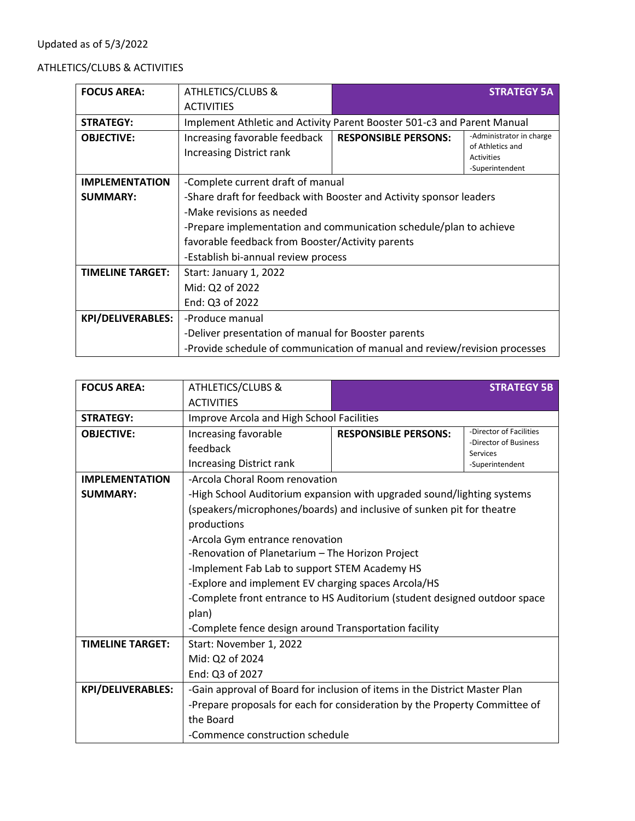## Updated as of 5/3/2022

## ATHLETICS/CLUBS & ACTIVITIES

| <b>FOCUS AREA:</b>       | <b>ATHLETICS/CLUBS &amp;</b>                                               |                             | <b>STRATEGY 5A</b>                                                                   |
|--------------------------|----------------------------------------------------------------------------|-----------------------------|--------------------------------------------------------------------------------------|
|                          | <b>ACTIVITIES</b>                                                          |                             |                                                                                      |
| <b>STRATEGY:</b>         | Implement Athletic and Activity Parent Booster 501-c3 and Parent Manual    |                             |                                                                                      |
| <b>OBJECTIVE:</b>        | Increasing favorable feedback<br><b>Increasing District rank</b>           | <b>RESPONSIBLE PERSONS:</b> | -Administrator in charge<br>of Athletics and<br><b>Activities</b><br>-Superintendent |
| <b>IMPLEMENTATION</b>    | -Complete current draft of manual                                          |                             |                                                                                      |
| <b>SUMMARY:</b>          | -Share draft for feedback with Booster and Activity sponsor leaders        |                             |                                                                                      |
|                          | -Make revisions as needed                                                  |                             |                                                                                      |
|                          | -Prepare implementation and communication schedule/plan to achieve         |                             |                                                                                      |
|                          | favorable feedback from Booster/Activity parents                           |                             |                                                                                      |
|                          | -Establish bi-annual review process                                        |                             |                                                                                      |
| <b>TIMELINE TARGET:</b>  | Start: January 1, 2022                                                     |                             |                                                                                      |
|                          | Mid: Q2 of 2022                                                            |                             |                                                                                      |
|                          | End: Q3 of 2022                                                            |                             |                                                                                      |
| <b>KPI/DELIVERABLES:</b> | -Produce manual                                                            |                             |                                                                                      |
|                          | -Deliver presentation of manual for Booster parents                        |                             |                                                                                      |
|                          | -Provide schedule of communication of manual and review/revision processes |                             |                                                                                      |

| <b>FOCUS AREA:</b>       | <b>ATHLETICS/CLUBS &amp;</b>                                               |                             | <b>STRATEGY 5B</b>                |
|--------------------------|----------------------------------------------------------------------------|-----------------------------|-----------------------------------|
|                          | <b>ACTIVITIES</b>                                                          |                             |                                   |
| <b>STRATEGY:</b>         | Improve Arcola and High School Facilities                                  |                             |                                   |
| <b>OBJECTIVE:</b>        | Increasing favorable                                                       | <b>RESPONSIBLE PERSONS:</b> | -Director of Facilities           |
|                          | feedback                                                                   |                             | -Director of Business<br>Services |
|                          | <b>Increasing District rank</b>                                            |                             | -Superintendent                   |
| <b>IMPLEMENTATION</b>    | -Arcola Choral Room renovation                                             |                             |                                   |
| <b>SUMMARY:</b>          | -High School Auditorium expansion with upgraded sound/lighting systems     |                             |                                   |
|                          | (speakers/microphones/boards) and inclusive of sunken pit for theatre      |                             |                                   |
|                          | productions                                                                |                             |                                   |
|                          | -Arcola Gym entrance renovation                                            |                             |                                   |
|                          | -Renovation of Planetarium - The Horizon Project                           |                             |                                   |
|                          | -Implement Fab Lab to support STEM Academy HS                              |                             |                                   |
|                          | -Explore and implement EV charging spaces Arcola/HS                        |                             |                                   |
|                          | -Complete front entrance to HS Auditorium (student designed outdoor space  |                             |                                   |
|                          | plan)                                                                      |                             |                                   |
|                          | -Complete fence design around Transportation facility                      |                             |                                   |
| <b>TIMELINE TARGET:</b>  | Start: November 1, 2022                                                    |                             |                                   |
|                          | Mid: Q2 of 2024                                                            |                             |                                   |
|                          | End: Q3 of 2027                                                            |                             |                                   |
| <b>KPI/DELIVERABLES:</b> | -Gain approval of Board for inclusion of items in the District Master Plan |                             |                                   |
|                          | -Prepare proposals for each for consideration by the Property Committee of |                             |                                   |
|                          | the Board                                                                  |                             |                                   |
|                          | -Commence construction schedule                                            |                             |                                   |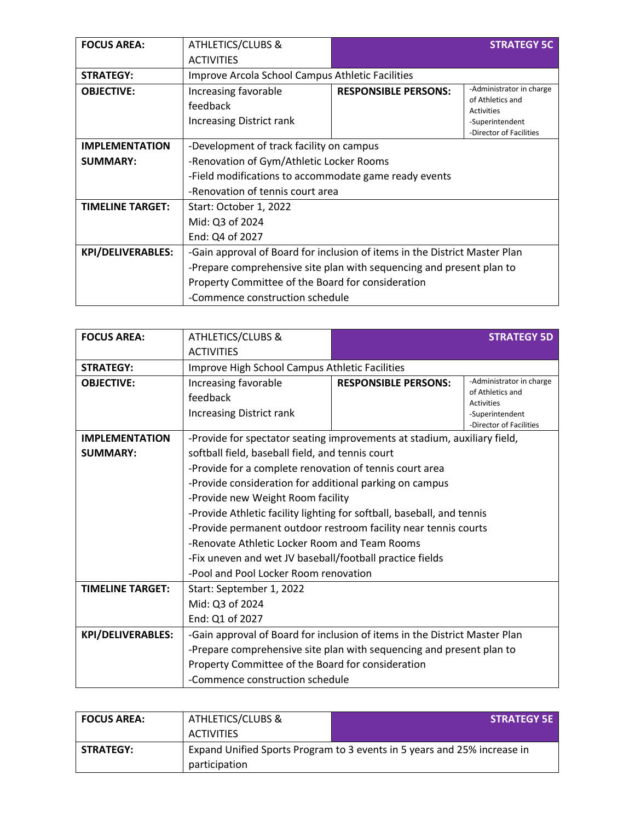| <b>FOCUS AREA:</b>       | <b>ATHLETICS/CLUBS &amp;</b>                                               |                             | <b>STRATEGY 5C</b>                    |
|--------------------------|----------------------------------------------------------------------------|-----------------------------|---------------------------------------|
|                          | <b>ACTIVITIES</b>                                                          |                             |                                       |
| <b>STRATEGY:</b>         | Improve Arcola School Campus Athletic Facilities                           |                             |                                       |
| <b>OBJECTIVE:</b>        | Increasing favorable                                                       | <b>RESPONSIBLE PERSONS:</b> | -Administrator in charge              |
|                          | feedback                                                                   |                             | of Athletics and<br><b>Activities</b> |
|                          | <b>Increasing District rank</b>                                            |                             | -Superintendent                       |
|                          |                                                                            |                             | -Director of Facilities               |
| <b>IMPLEMENTATION</b>    | -Development of track facility on campus                                   |                             |                                       |
| <b>SUMMARY:</b>          | -Renovation of Gym/Athletic Locker Rooms                                   |                             |                                       |
|                          | -Field modifications to accommodate game ready events                      |                             |                                       |
|                          | -Renovation of tennis court area                                           |                             |                                       |
| <b>TIMELINE TARGET:</b>  | Start: October 1, 2022                                                     |                             |                                       |
|                          | Mid: Q3 of 2024                                                            |                             |                                       |
|                          | End: Q4 of 2027                                                            |                             |                                       |
| <b>KPI/DELIVERABLES:</b> | -Gain approval of Board for inclusion of items in the District Master Plan |                             |                                       |
|                          | -Prepare comprehensive site plan with sequencing and present plan to       |                             |                                       |
|                          | Property Committee of the Board for consideration                          |                             |                                       |
|                          | -Commence construction schedule                                            |                             |                                       |

| <b>FOCUS AREA:</b>       | <b>ATHLETICS/CLUBS &amp;</b>                                               |                             | <b>STRATEGY 5D</b>                    |
|--------------------------|----------------------------------------------------------------------------|-----------------------------|---------------------------------------|
|                          | <b>ACTIVITIES</b>                                                          |                             |                                       |
| <b>STRATEGY:</b>         | Improve High School Campus Athletic Facilities                             |                             |                                       |
| <b>OBJECTIVE:</b>        | Increasing favorable                                                       | <b>RESPONSIBLE PERSONS:</b> | -Administrator in charge              |
|                          | feedback                                                                   |                             | of Athletics and<br><b>Activities</b> |
|                          | Increasing District rank                                                   |                             | -Superintendent                       |
|                          |                                                                            |                             | -Director of Facilities               |
| <b>IMPLEMENTATION</b>    | -Provide for spectator seating improvements at stadium, auxiliary field,   |                             |                                       |
| <b>SUMMARY:</b>          | softball field, baseball field, and tennis court                           |                             |                                       |
|                          | -Provide for a complete renovation of tennis court area                    |                             |                                       |
|                          | -Provide consideration for additional parking on campus                    |                             |                                       |
|                          | -Provide new Weight Room facility                                          |                             |                                       |
|                          | -Provide Athletic facility lighting for softball, baseball, and tennis     |                             |                                       |
|                          | -Provide permanent outdoor restroom facility near tennis courts            |                             |                                       |
|                          | -Renovate Athletic Locker Room and Team Rooms                              |                             |                                       |
|                          | -Fix uneven and wet JV baseball/football practice fields                   |                             |                                       |
|                          | -Pool and Pool Locker Room renovation                                      |                             |                                       |
| <b>TIMELINE TARGET:</b>  | Start: September 1, 2022                                                   |                             |                                       |
|                          | Mid: Q3 of 2024                                                            |                             |                                       |
|                          | End: Q1 of 2027                                                            |                             |                                       |
| <b>KPI/DELIVERABLES:</b> | -Gain approval of Board for inclusion of items in the District Master Plan |                             |                                       |
|                          | -Prepare comprehensive site plan with sequencing and present plan to       |                             |                                       |
|                          | Property Committee of the Board for consideration                          |                             |                                       |
|                          | -Commence construction schedule                                            |                             |                                       |

| <b>FOCUS AREA:</b> | <b>ATHLETICS/CLUBS &amp;</b>                                             | <b>STRATEGY 5E</b> |  |
|--------------------|--------------------------------------------------------------------------|--------------------|--|
|                    | ACTIVITIES                                                               |                    |  |
| <b>STRATEGY:</b>   | Expand Unified Sports Program to 3 events in 5 years and 25% increase in |                    |  |
|                    | participation                                                            |                    |  |